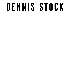## DENNIS STOCK

- 
- 
- 
- -
- 
-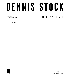# **Dennis Stock**

Foreword by Anton Corbijn TIME IS ON YOUR SIDE

Essay by CAROLE NAGGAR

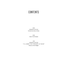#### contentS

006 DENNIS STOCK Foreword by Anton Corbijn

008 THE PICTURES

154 DENNIS STOCK " I'll meet you tonight at noon" Essay by Carole Naggar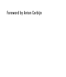### Foreword by Anton Corbijn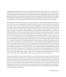i regret never having met Dennis Stock, nor having been aware of his work the way i am now, in mid-edit on a film called LIFE that focuses on his work with James Dean. i have come into contact with his work through research for the film and then realized that i had seen his images without registering the name. peripheral vision i guess, but it felt like an inconceivable omission. even the famous image of The Photojournalist by Andreas Feininger had not registered with me as being Dennis as i always thought it depicted a woman (sorry Dennis!), but if we'd have met it would have been a good starting point for a talk about what it is that we are seeing.

having looked in depth over the last year or so at his photographs, i find that his incredible eye for detail in life, humor, man, and surrounding made me want to explore more, go out into the world and discover how much there is to see. it is an unobtrusive and slight poetic language he is using to seduce us to observe and participate. the guy had a fantastic eye and he had great timing. timing can be the tool of a comedian. generally i find it very hard to make a "funny" picture, but Dennis seems to do this effortlessly. it is only a very sharp observer who manages to coordinate situations with timing, but a sharp observer he was. he was not really a portraitist—you'd be very hard-pressed to find more than five portraits amongst his work—but he set off people against their surroundings. backgrounds are an important and determined element in his work and i can very much relate to that. it colors the person with the added bonus later on that it tells you a lot about an era; although that obviously only starts playing a role as time passes, it is a fascinating characteristic of photography. probably one out of many differences in our work is the reason why one would work like that. in my case it came partly out of shyness, keeping a distance helped somehow, and a protestant upbringing that made me look at the situation people lived in, plus the absence of iconic images around our home made me somewhat unaware of portraits, iconic or otherwise. watching pieces about Dennis on film i would not put shyness as a factor in his way of operating in the world, but he obviously enjoyed context, which is what a background can give you. these days this is a very overlooked possibility in the photography of people who can be viewed as "well-known," or as "celebrities," that dreaded word. photographers want to sell their work, so it is all about portraits or about full body shots with an "idea." never mind that the idea is usually crap, it sells, which perplexes me. anyway, Dennis is very, very good at shooting people with and within a context. he calls his work "making essays," stories, and i can see why he looked at it that way.

preparing for the film i obviously had to delve into him as a private person, and found that his desire for adventure left his personal life with a lot to be desired, but i guess that is what it takes for some of us. he found beauty in his work and love with several wives over the course of his restless life, while his son Rodney, who visited the film set of Life for quite a few days, said he learned more about his father through the film than he had in real life. taking into account that we were kind to Dennis in the film (played by Rob Pattinson) compared to how he was in real life, that is a shocking reality but not one that makes his work any less interesting. for someone who couldn't share the love of life with his son, he miraculously certainly managed to share it with the rest of the world.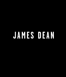### **James Dean**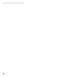James Dean in Times Square. New York City, 1955